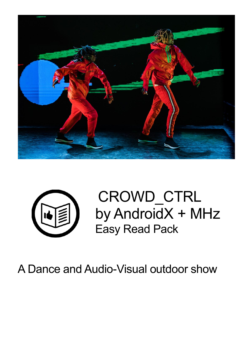



CROWD\_CTRL by AndroidX + MHz Easy Read Pack

A Dance and Audio-Visual outdoor show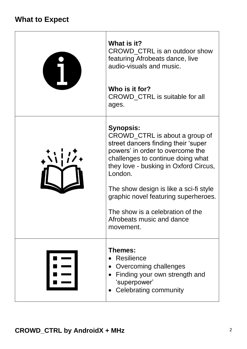## **What to Expect**

| What is it?<br>CROWD_CTRL is an outdoor show<br>featuring Afrobeats dance, live<br>audio-visuals and music.<br>Who is it for?                                                                                                                                                                                                                                                          |
|----------------------------------------------------------------------------------------------------------------------------------------------------------------------------------------------------------------------------------------------------------------------------------------------------------------------------------------------------------------------------------------|
| <b>CROWD_CTRL</b> is suitable for all<br>ages.                                                                                                                                                                                                                                                                                                                                         |
| <b>Synopsis:</b><br>CROWD_CTRL is about a group of<br>street dancers finding their 'super<br>powers' in order to overcome the<br>challenges to continue doing what<br>they love - busking in Oxford Circus,<br>London.<br>The show design is like a sci-fi style<br>graphic novel featuring superheroes.<br>The show is a celebration of the<br>Afrobeats music and dance<br>movement. |
| <b>Themes:</b><br><b>Resilience</b><br>Overcoming challenges<br>Finding your own strength and<br>'superpower'<br>Celebrating community                                                                                                                                                                                                                                                 |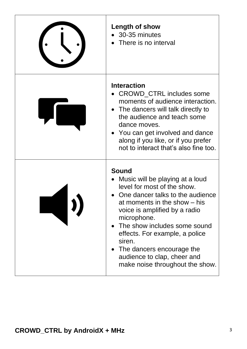| Length of show<br>30-35 minutes<br>There is no interval                                                                                                                                                                                                                                                                                                                       |
|-------------------------------------------------------------------------------------------------------------------------------------------------------------------------------------------------------------------------------------------------------------------------------------------------------------------------------------------------------------------------------|
| <b>Interaction</b><br><b>CROWD_CTRL</b> includes some<br>moments of audience interaction.<br>• The dancers will talk directly to<br>the audience and teach some<br>dance moves.<br>You can get involved and dance<br>along if you like, or if you prefer<br>not to interact that's also fine too.                                                                             |
| <b>Sound</b><br>Music will be playing at a loud<br>level for most of the show.<br>One dancer talks to the audience<br>at moments in the show – his<br>voice is amplified by a radio<br>microphone.<br>The show includes some sound<br>effects. For example, a police<br>siren.<br>The dancers encourage the<br>audience to clap, cheer and<br>make noise throughout the show. |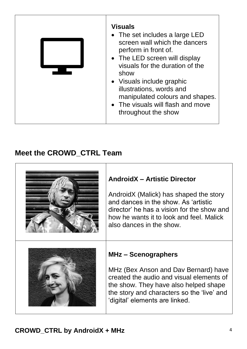| <b>Visuals</b><br>• The set includes a large LED<br>screen wall which the dancers<br>perform in front of.<br>• The LED screen will display<br>visuals for the duration of the<br>show<br>• Visuals include graphic<br>illustrations, words and<br>manipulated colours and shapes.<br>• The visuals will flash and move<br>throughout the show |
|-----------------------------------------------------------------------------------------------------------------------------------------------------------------------------------------------------------------------------------------------------------------------------------------------------------------------------------------------|
|-----------------------------------------------------------------------------------------------------------------------------------------------------------------------------------------------------------------------------------------------------------------------------------------------------------------------------------------------|

## **Meet the CROWD\_CTRL Team**

| <b>AndroidX - Artistic Director</b><br>AndroidX (Malick) has shaped the story<br>and dances in the show. As 'artistic<br>director' he has a vision for the show and<br>how he wants it to look and feel. Malick<br>also dances in the show. |
|---------------------------------------------------------------------------------------------------------------------------------------------------------------------------------------------------------------------------------------------|
| MHz - Scenographers<br>MHz (Bex Anson and Dav Bernard) have<br>created the audio and visual elements of<br>the show. They have also helped shape<br>the story and characters so the 'live' and<br>'digital' elements are linked.            |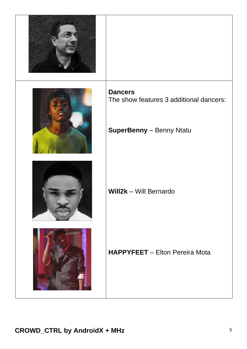| <b>Dancers</b><br>The show features 3 additional dancers: |
|-----------------------------------------------------------|
| <b>SuperBenny</b> - Benny Ntatu                           |
| Will2k - Will Bernardo                                    |
| <b>HAPPYFEET</b> - Elton Pereira Mota                     |